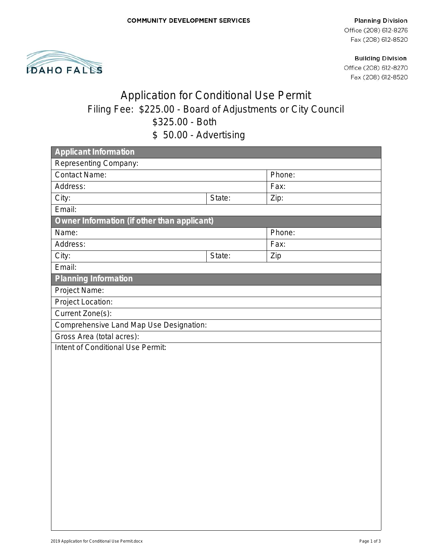**Planning Division** Office (208) 612-8276 Fax (208) 612-8520



**Building Division** Office (208) 612-8270 Fax (208) 612-8520

## Application for Conditional Use Permit Filing Fee: \$225.00 - Board of Adjustments or City Council \$325.00 - Both \$ 50.00 - Advertising

| boloo nuvutusmiy                            |        |        |  |
|---------------------------------------------|--------|--------|--|
| <b>Applicant Information</b>                |        |        |  |
| Representing Company:                       |        |        |  |
| <b>Contact Name:</b>                        |        | Phone: |  |
| Address:                                    |        | Fax:   |  |
| City:                                       | State: | Zip:   |  |
| Email:                                      |        |        |  |
| Owner Information (if other than applicant) |        |        |  |
| Name:                                       |        | Phone: |  |
| Address:                                    |        | Fax:   |  |
| City:                                       | State: | Zip    |  |
| Email:                                      |        |        |  |
| <b>Planning Information</b>                 |        |        |  |
| Project Name:                               |        |        |  |
| Project Location:                           |        |        |  |
| Current Zone(s):                            |        |        |  |
| Comprehensive Land Map Use Designation:     |        |        |  |
| Gross Area (total acres):                   |        |        |  |
| Intent of Conditional Use Permit:           |        |        |  |
|                                             |        |        |  |
|                                             |        |        |  |
|                                             |        |        |  |
|                                             |        |        |  |
|                                             |        |        |  |
|                                             |        |        |  |
|                                             |        |        |  |
|                                             |        |        |  |
|                                             |        |        |  |
|                                             |        |        |  |
|                                             |        |        |  |
|                                             |        |        |  |
|                                             |        |        |  |
|                                             |        |        |  |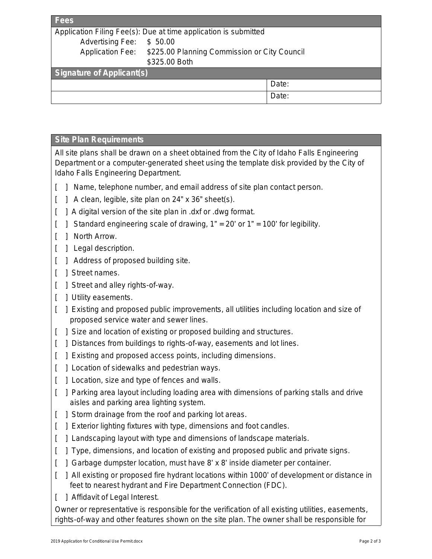| Application Filing Fee(s): Due at time application is submitted         |       |  |  |
|-------------------------------------------------------------------------|-------|--|--|
| \$50.00                                                                 |       |  |  |
| <b>Application Fee:</b><br>\$225.00 Planning Commission or City Council |       |  |  |
| \$325.00 Both                                                           |       |  |  |
| <b>Signature of Applicant(s)</b>                                        |       |  |  |
|                                                                         | Date: |  |  |
|                                                                         | Date: |  |  |
|                                                                         |       |  |  |

## **Site Plan Requirements**

All site plans shall be drawn on a sheet obtained from the City of Idaho Falls Engineering Department or a computer-generated sheet using the template disk provided by the City of Idaho Falls Engineering Department.

- [ ] Name, telephone number, and email address of site plan contact person.
- [ ] A clean, legible, site plan on 24" x 36" sheet(s).
- [ ] A digital version of the site plan in .dxf or .dwg format.
- $\mid$  Standard engineering scale of drawing, 1" = 20' or 1" = 100' for legibility.
- [ ] North Arrow.
- [ ] Legal description.
- 1 Address of proposed building site.
- [ ] Street names.
- [ ] Street and alley rights-of-way.
- [ ] Utility easements.
- [ ] Existing and proposed public improvements, all utilities including location and size of proposed service water and sewer lines.
- [ ] Size and location of existing or proposed building and structures.
- [ ] Distances from buildings to rights-of-way, easements and lot lines.
- [ ] Existing and proposed access points, including dimensions.
- [ ] Location of sidewalks and pedestrian ways.
- [ ] Location, size and type of fences and walls.
- [ ] Parking area layout including loading area with dimensions of parking stalls and drive aisles and parking area lighting system.
- [ ] Storm drainage from the roof and parking lot areas.
- [ ] Exterior lighting fixtures with type, dimensions and foot candles.
- [ ] Landscaping layout with type and dimensions of landscape materials.
- [ ] Type, dimensions, and location of existing and proposed public and private signs.
- [ ] Garbage dumpster location, must have 8' x 8' inside diameter per container.
- [ ] All existing or proposed fire hydrant locations within 1000' of development or distance in feet to nearest hydrant and Fire Department Connection (FDC).
- [ ] Affidavit of Legal Interest.

Owner or representative is responsible for the verification of all existing utilities, easements, rights-of-way and other features shown on the site plan. The owner shall be responsible for